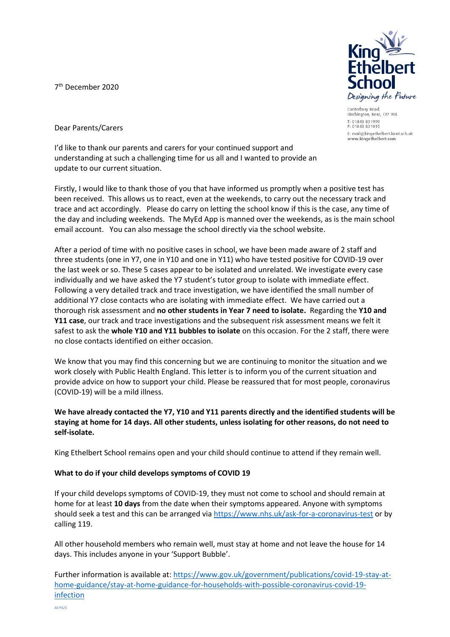7 th December 2020



Canterbury Road Birchington, Kent, CT7 9BL T: 01843 831999 F: 01843 831015 E: mail@kingethelbert.kent.sch.uk<br>www.kingethelbert.com

Dear Parents/Carers

I'd like to thank our parents and carers for your continued support and understanding at such a challenging time for us all and I wanted to provide an update to our current situation.

Firstly, I would like to thank those of you that have informed us promptly when a positive test has been received. This allows us to react, even at the weekends, to carry out the necessary track and trace and act accordingly. Please do carry on letting the school know if this is the case, any time of the day and including weekends. The MyEd App is manned over the weekends, as is the main school email account. You can also message the school directly via the school website.

After a period of time with no positive cases in school, we have been made aware of 2 staff and three students (one in Y7, one in Y10 and one in Y11) who have tested positive for COVID-19 over the last week or so. These 5 cases appear to be isolated and unrelated. We investigate every case individually and we have asked the Y7 student's tutor group to isolate with immediate effect. Following a very detailed track and trace investigation, we have identified the small number of additional Y7 close contacts who are isolating with immediate effect. We have carried out a thorough risk assessment and **no other students in Year 7 need to isolate.** Regarding the **Y10 and Y11 case**, our track and trace investigations and the subsequent risk assessment means we felt it safest to ask the **whole Y10 and Y11 bubbles to isolate** on this occasion. For the 2 staff, there were no close contacts identified on either occasion.

We know that you may find this concerning but we are continuing to monitor the situation and we work closely with Public Health England. This letter is to inform you of the current situation and provide advice on how to support your child. Please be reassured that for most people, coronavirus (COVID-19) will be a mild illness.

# **We have already contacted the Y7, Y10 and Y11 parents directly and the identified students will be staying at home for 14 days. All other students, unless isolating for other reasons, do not need to self-isolate.**

King Ethelbert School remains open and your child should continue to attend if they remain well.

## **What to do if your child develops symptoms of COVID 19**

If your child develops symptoms of COVID-19, they must not come to school and should remain at home for at least **10 days** from the date when their symptoms appeared. Anyone with symptoms should seek a test and this can be arranged vi[a https://www.nhs.uk/ask-for-a-coronavirus-test](https://www.nhs.uk/ask-for-a-coronavirus-test) or by calling 119.

All other household members who remain well, must stay at home and not leave the house for 14 days. This includes anyone in your 'Support Bubble'.

Further information is available at: [https://www.gov.uk/government/publications/covid-19-stay-at](https://www.gov.uk/government/publications/covid-19-stay-at-home-guidance/stay-at-home-guidance-for-households-with-possible-coronavirus-covid-19-infection)[home-guidance/stay-at-home-guidance-for-households-with-possible-coronavirus-covid-19](https://www.gov.uk/government/publications/covid-19-stay-at-home-guidance/stay-at-home-guidance-for-households-with-possible-coronavirus-covid-19-infection) [infection](https://www.gov.uk/government/publications/covid-19-stay-at-home-guidance/stay-at-home-guidance-for-households-with-possible-coronavirus-covid-19-infection)